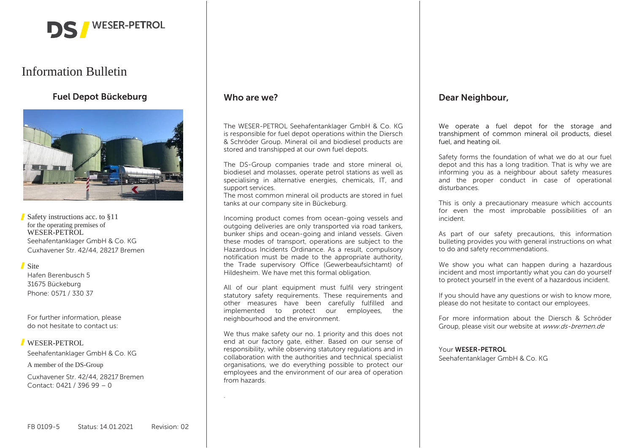

# Information Bulletin

# **Fuel Depot Bückeburg**



Safety instructions acc. to §11 for the operating premises of WESER-PETROL Seehafentanklager GmbH & Co. KG Cuxhavener Str. 42/44, 28217 Bremen

### Site

Hafen Berenbusch 5 31675 Bückeburg Phone: 0571 / 330 37

For further information, please do not hesitate to contact us:

# WESER-PETROL

Seehafentanklager GmbH & Co. KG

A member of the DS-Group

Cuxhavener Str. 42/44, 28217 Bremen Contact: 0421 / 396 99 – 0

# **Who are we?**

.

The WESER-PETROL Seehafentanklager GmbH & Co. KG is responsible for fuel depot operations within the Diersch & Schröder Group. Mineral oil and biodiesel products are stored and transhipped at our own fuel depots.

The DS-Group companies trade and store mineral oi, biodiesel and molasses, operate petrol stations as well as specialising in alternative energies, chemicals, IT, and support services.

The most common mineral oil products are stored in fuel tanks at our company site in Bückeburg.

Incoming product comes from ocean-going vessels and outgoing deliveries are only transported via road tankers, bunker ships and ocean-going and inland vessels. Given these modes of transport, operations are subject to the Hazardous Incidents Ordinance. As a result, compulsory notification must be made to the appropriate authority, the Trade supervisory Office (Gewerbeaufsichtamt) of Hildesheim. We have met this formal obligation.

All of our plant equipment must fulfil very stringent statutory safety requirements. These requirements and other measures have been carefully fulfilled and implemented to protect our employees, the neighbourhood and the environment.

We thus make safety our no. 1 priority and this does not end at our factory gate, either. Based on our sense of responsibility, while observing statutory regulations and in collaboration with the authorities and technical specialist organisations, we do everything possible to protect our employees and the environment of our area of operation from hazards.

# **Dear Neighbour,**

We operate a fuel depot for the storage and transhipment of common mineral oil products, diesel fuel, and heating oil.

Safety forms the foundation of what we do at our fuel depot and this has a long tradition. That is why we are informing you as a neighbour about safety measures and the proper conduct in case of operational disturbances.

This is only a precautionary measure which accounts for even the most improbable possibilities of an incident.

As part of our safety precautions, this information bulleting provides you with general instructions on what to do and safety recommendations.

We show you what can happen during a hazardous incident and most importantly what you can do yourself to protect yourself in the event of a hazardous incident.

If you should have any questions or wish to know more, please do not hesitate to contact our employees.

For more information about the Diersch & Schröder Group, please visit our website at www.ds-bremen.de

#### Your **WESER-PETROL**

Seehafentanklager GmbH & Co. KG